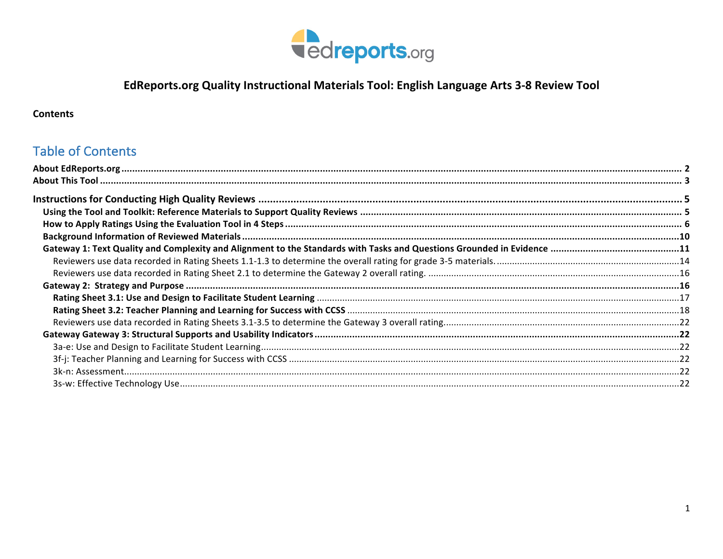

# EdReports.org Quality Instructional Materials Tool: English Language Arts 3-8 Review Tool

## **Contents**

# **Table of Contents**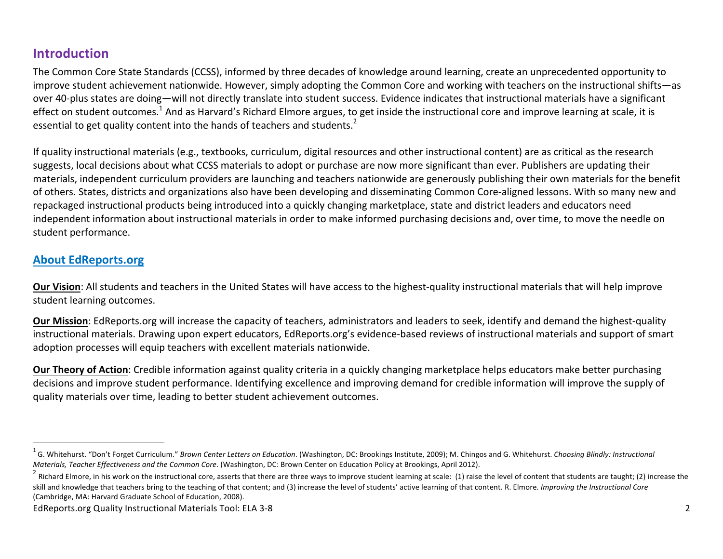# **Introduction**

The Common Core State Standards (CCSS), informed by three decades of knowledge around learning, create an unprecedented opportunity to improve student achievement nationwide. However, simply adopting the Common Core and working with teachers on the instructional shifts—as over 40-plus states are doing—will not directly translate into student success. Evidence indicates that instructional materials have a significant effect on student outcomes.<sup>1</sup> And as Harvard's Richard Elmore argues, to get inside the instructional core and improve learning at scale, it is essential to get quality content into the hands of teachers and students.<sup>2</sup>

If quality instructional materials (e.g., textbooks, curriculum, digital resources and other instructional content) are as critical as the research suggests, local decisions about what CCSS materials to adopt or purchase are now more significant than ever. Publishers are updating their materials, independent curriculum providers are launching and teachers nationwide are generously publishing their own materials for the benefit of others. States, districts and organizations also have been developing and disseminating Common Core-aligned lessons. With so many new and repackaged instructional products being introduced into a quickly changing marketplace, state and district leaders and educators need independent information about instructional materials in order to make informed purchasing decisions and, over time, to move the needle on student performance.

## **About EdReports.org**

<u> 1989 - Johann Barn, mars ann an t-Amhain an t-Amhain an t-Amhain an t-Amhain an t-Amhain an t-Amhain an t-Amh</u>

**Our Vision:** All students and teachers in the United States will have access to the highest-quality instructional materials that will help improve student learning outcomes.

**Our Mission**: EdReports.org will increase the capacity of teachers, administrators and leaders to seek, identify and demand the highest-quality instructional materials. Drawing upon expert educators, EdReports.org's evidence-based reviews of instructional materials and support of smart adoption processes will equip teachers with excellent materials nationwide.

**Our Theory of Action**: Credible information against quality criteria in a quickly changing marketplace helps educators make better purchasing decisions and improve student performance. Identifying excellence and improving demand for credible information will improve the supply of quality materials over time, leading to better student achievement outcomes.

EdReports.org Quality Instructional Materials Tool: ELA 3-8 2

<sup>&</sup>lt;sup>1</sup> G. Whitehurst. "Don't Forget Curriculum." *Brown Center Letters on Education*. (Washington, DC: Brookings Institute, 2009); M. Chingos and G. Whitehurst. Choosing Blindly: Instructional *Materials, Teacher Effectiveness and the Common Core.* (Washington, DC: Brown Center on Education Policy at Brookings, April 2012).

<sup>&</sup>lt;sup>2</sup> Richard Elmore, in his work on the instructional core, asserts that there are three ways to improve student learning at scale: (1) raise the level of content that students are taught; (2) increase the skill and knowledge that teachers bring to the teaching of that content; and (3) increase the level of students' active learning of that content. R. Elmore. *Improving the Instructional Core* (Cambridge, MA: Harvard Graduate School of Education, 2008).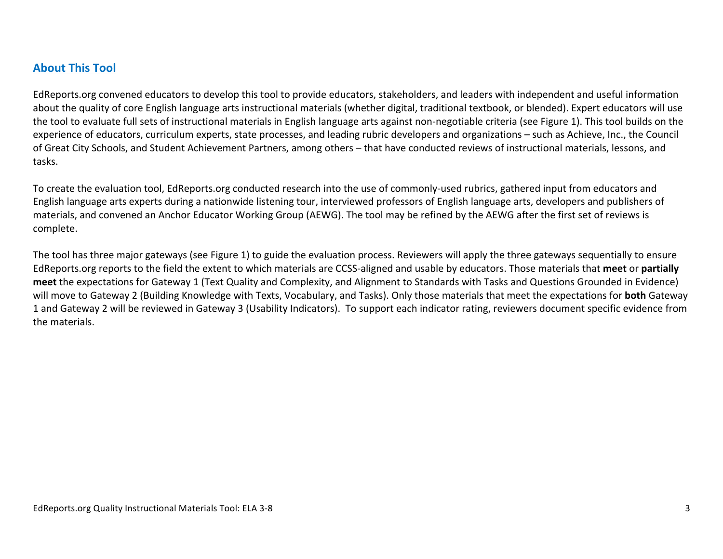## **About This Tool**

EdReports.org convened educators to develop this tool to provide educators, stakeholders, and leaders with independent and useful information about the quality of core English language arts instructional materials (whether digital, traditional textbook, or blended). Expert educators will use the tool to evaluate full sets of instructional materials in English language arts against non-negotiable criteria (see Figure 1). This tool builds on the experience of educators, curriculum experts, state processes, and leading rubric developers and organizations - such as Achieve, Inc., the Council of Great City Schools, and Student Achievement Partners, among others – that have conducted reviews of instructional materials, lessons, and tasks. 

To create the evaluation tool, EdReports.org conducted research into the use of commonly-used rubrics, gathered input from educators and English language arts experts during a nationwide listening tour, interviewed professors of English language arts, developers and publishers of materials, and convened an Anchor Educator Working Group (AEWG). The tool may be refined by the AEWG after the first set of reviews is complete. 

The tool has three major gateways (see Figure 1) to guide the evaluation process. Reviewers will apply the three gateways sequentially to ensure EdReports.org reports to the field the extent to which materials are CCSS-aligned and usable by educators. Those materials that meet or partially **meet** the expectations for Gateway 1 (Text Quality and Complexity, and Alignment to Standards with Tasks and Questions Grounded in Evidence) will move to Gateway 2 (Building Knowledge with Texts, Vocabulary, and Tasks). Only those materials that meet the expectations for **both** Gateway 1 and Gateway 2 will be reviewed in Gateway 3 (Usability Indicators). To support each indicator rating, reviewers document specific evidence from the materials.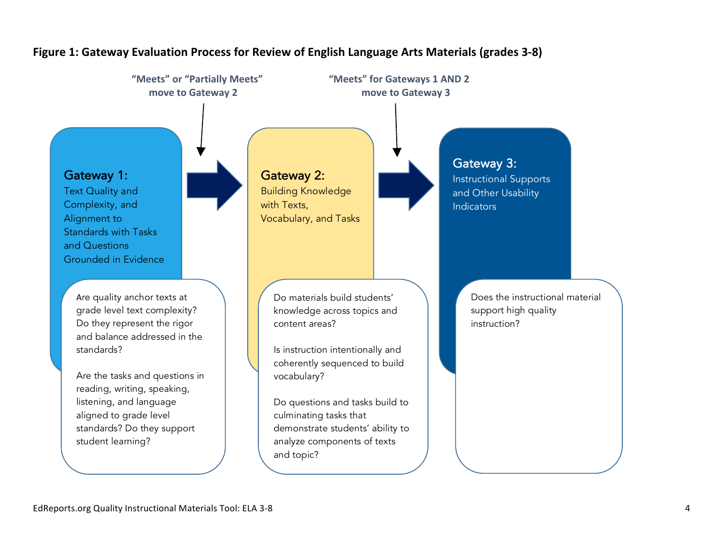

## **Figure 1: Gateway Evaluation Process for Review of English Language Arts Materials (grades 3-8)**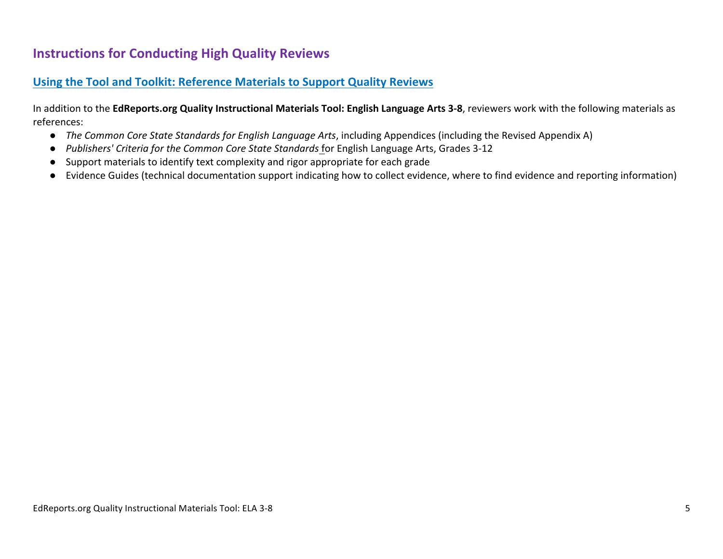# **Instructions for Conducting High Quality Reviews**

# **Using the Tool and Toolkit: Reference Materials to Support Quality Reviews**

In addition to the **EdReports.org Quality Instructional Materials Tool: English Language Arts 3-8**, reviewers work with the following materials as references:

- *The Common Core State Standards for English Language Arts*, including Appendices (including the Revised Appendix A)
- *Publishers' Criteria for the Common Core State Standards* for English Language Arts, Grades 3-12
- Support materials to identify text complexity and rigor appropriate for each grade
- Evidence Guides (technical documentation support indicating how to collect evidence, where to find evidence and reporting information)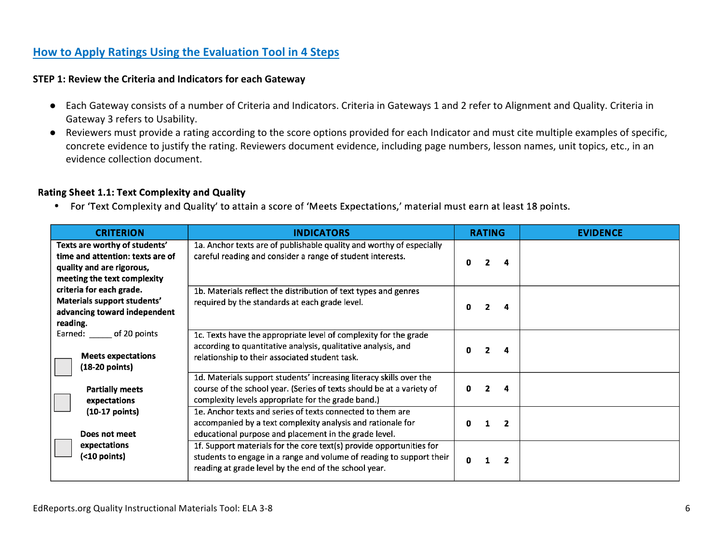## **How to Apply Ratings Using the Evaluation Tool in 4 Steps**

#### **STEP 1: Review the Criteria and Indicators for each Gateway**

- Each Gateway consists of a number of Criteria and Indicators. Criteria in Gateways 1 and 2 refer to Alignment and Quality. Criteria in Gateway 3 refers to Usability.
- Reviewers must provide a rating according to the score options provided for each Indicator and must cite multiple examples of specific, concrete evidence to justify the rating. Reviewers document evidence, including page numbers, lesson names, unit topics, etc., in an evidence collection document.

#### Rating Sheet 1.1: Text Complexity and Quality

| <b>CRITERION</b>                                                                                                              | <b>INDICATORS</b>                                                                                                                                                                                     |   | <b>RATING</b> |   | <b>EVIDENCE</b> |
|-------------------------------------------------------------------------------------------------------------------------------|-------------------------------------------------------------------------------------------------------------------------------------------------------------------------------------------------------|---|---------------|---|-----------------|
| Texts are worthy of students'<br>time and attention: texts are of<br>quality and are rigorous,<br>meeting the text complexity | 1a. Anchor texts are of publishable quality and worthy of especially<br>careful reading and consider a range of student interests.                                                                    |   |               |   |                 |
| criteria for each grade.<br>Materials support students'<br>advancing toward independent<br>reading.                           | 1b. Materials reflect the distribution of text types and genres<br>required by the standards at each grade level.                                                                                     |   |               | 4 |                 |
| of 20 points<br>Earned:<br><b>Meets expectations</b><br>(18-20 points)                                                        | 1c. Texts have the appropriate level of complexity for the grade<br>according to quantitative analysis, qualitative analysis, and<br>relationship to their associated student task.                   |   |               | 4 |                 |
| <b>Partially meets</b><br>expectations                                                                                        | 1d. Materials support students' increasing literacy skills over the<br>course of the school year. (Series of texts should be at a variety of<br>complexity levels appropriate for the grade band.)    |   |               | 4 |                 |
| $(10-17$ points)<br>Does not meet                                                                                             | 1e. Anchor texts and series of texts connected to them are<br>accompanied by a text complexity analysis and rationale for<br>educational purpose and placement in the grade level.                    |   |               | 2 |                 |
| expectations<br>(<10 points)                                                                                                  | 1f. Support materials for the core text(s) provide opportunities for<br>students to engage in a range and volume of reading to support their<br>reading at grade level by the end of the school year. | n |               |   |                 |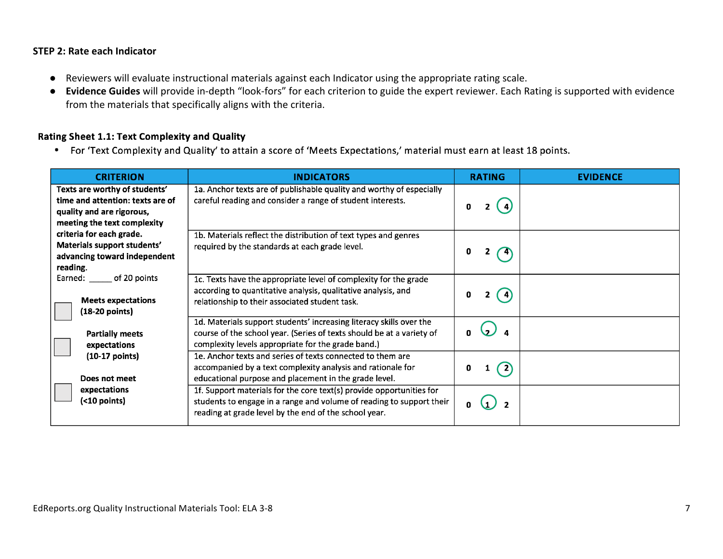### **STEP 2: Rate each Indicator**

- Reviewers will evaluate instructional materials against each Indicator using the appropriate rating scale.
- **Evidence Guides** will provide in-depth "look-fors" for each criterion to guide the expert reviewer. Each Rating is supported with evidence from the materials that specifically aligns with the criteria.

#### **Rating Sheet 1.1: Text Complexity and Quality**

| <b>CRITERION</b>                                                                                                              | <b>INDICATORS</b>                                                                                                                                                                                     | <b>RATING</b> | <b>EVIDENCE</b> |
|-------------------------------------------------------------------------------------------------------------------------------|-------------------------------------------------------------------------------------------------------------------------------------------------------------------------------------------------------|---------------|-----------------|
| Texts are worthy of students'<br>time and attention: texts are of<br>quality and are rigorous,<br>meeting the text complexity | 1a. Anchor texts are of publishable quality and worthy of especially<br>careful reading and consider a range of student interests.                                                                    |               |                 |
| criteria for each grade.<br>Materials support students'<br>advancing toward independent<br>reading.                           | 1b. Materials reflect the distribution of text types and genres<br>required by the standards at each grade level.                                                                                     |               |                 |
| of 20 points<br>Earned:<br><b>Meets expectations</b><br>(18-20 points)                                                        | 1c. Texts have the appropriate level of complexity for the grade<br>according to quantitative analysis, qualitative analysis, and<br>relationship to their associated student task.                   |               |                 |
| <b>Partially meets</b><br>expectations                                                                                        | 1d. Materials support students' increasing literacy skills over the<br>course of the school year. (Series of texts should be at a variety of<br>complexity levels appropriate for the grade band.)    |               |                 |
| (10-17 points)<br>Does not meet                                                                                               | 1e. Anchor texts and series of texts connected to them are<br>accompanied by a text complexity analysis and rationale for<br>educational purpose and placement in the grade level.                    |               |                 |
| expectations<br>(<10 points)                                                                                                  | 1f. Support materials for the core text(s) provide opportunities for<br>students to engage in a range and volume of reading to support their<br>reading at grade level by the end of the school year. |               |                 |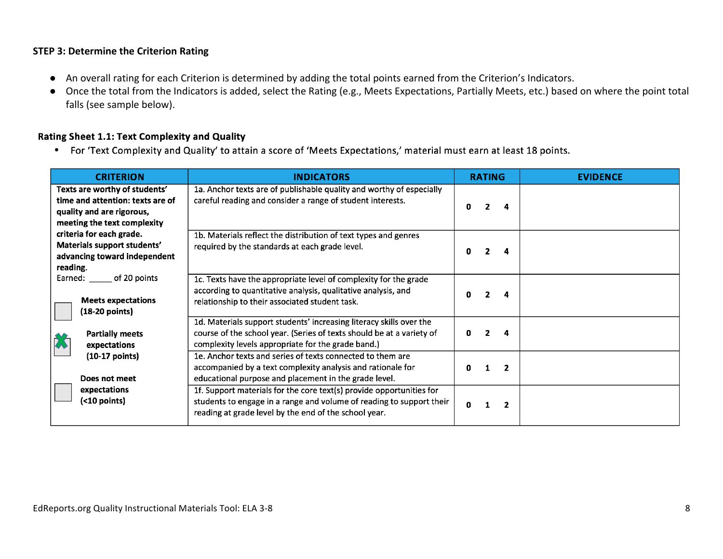#### **STEP 3: Determine the Criterion Rating**

- An overall rating for each Criterion is determined by adding the total points earned from the Criterion's Indicators.
- Once the total from the Indicators is added, select the Rating (e.g., Meets Expectations, Partially Meets, etc.) based on where the point total falls (see sample below).

## **Rating Sheet 1.1: Text Complexity and Quality**

| <b>CRITERION</b>                                                                                                              | <b>INDICATORS</b>                                                                                                                                                                                     |   | <b>RATING</b> |   | <b>EVIDENCE</b> |
|-------------------------------------------------------------------------------------------------------------------------------|-------------------------------------------------------------------------------------------------------------------------------------------------------------------------------------------------------|---|---------------|---|-----------------|
| Texts are worthy of students'<br>time and attention: texts are of<br>quality and are rigorous,<br>meeting the text complexity | 1a. Anchor texts are of publishable quality and worthy of especially<br>careful reading and consider a range of student interests.                                                                    | o |               | 4 |                 |
| criteria for each grade.<br>Materials support students'<br>advancing toward independent<br>reading.                           | 1b. Materials reflect the distribution of text types and genres<br>required by the standards at each grade level.                                                                                     | n |               | 4 |                 |
| Earned:<br>of 20 points<br><b>Meets expectations</b><br>(18-20 points)                                                        | 1c. Texts have the appropriate level of complexity for the grade<br>according to quantitative analysis, qualitative analysis, and<br>relationship to their associated student task.                   | n |               | 4 |                 |
| <b>Partially meets</b><br>expectations                                                                                        | 1d. Materials support students' increasing literacy skills over the<br>course of the school year. (Series of texts should be at a variety of<br>complexity levels appropriate for the grade band.)    | 0 |               | 4 |                 |
| (10-17 points)<br>Does not meet                                                                                               | 1e. Anchor texts and series of texts connected to them are<br>accompanied by a text complexity analysis and rationale for<br>educational purpose and placement in the grade level.                    | 0 |               | 2 |                 |
| expectations<br>(<10 points)                                                                                                  | 1f. Support materials for the core text(s) provide opportunities for<br>students to engage in a range and volume of reading to support their<br>reading at grade level by the end of the school year. | 0 |               |   |                 |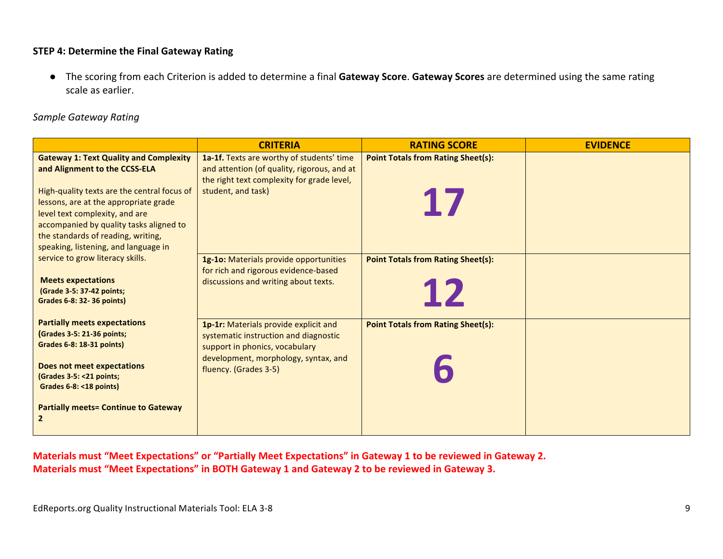## **STEP 4: Determine the Final Gateway Rating**

● The scoring from each Criterion is added to determine a final Gateway Score. Gateway Scores are determined using the same rating scale as earlier.

#### *Sample Gateway Rating*

|                                                                                                                                                                                                                                                                                                                                   | <b>CRITERIA</b>                                                                                                                                                                   | <b>RATING SCORE</b>                             | <b>EVIDENCE</b> |
|-----------------------------------------------------------------------------------------------------------------------------------------------------------------------------------------------------------------------------------------------------------------------------------------------------------------------------------|-----------------------------------------------------------------------------------------------------------------------------------------------------------------------------------|-------------------------------------------------|-----------------|
| <b>Gateway 1: Text Quality and Complexity</b><br>and Alignment to the CCSS-ELA<br>High-quality texts are the central focus of<br>lessons, are at the appropriate grade<br>level text complexity, and are<br>accompanied by quality tasks aligned to<br>the standards of reading, writing,<br>speaking, listening, and language in | 1a-1f. Texts are worthy of students' time<br>and attention (of quality, rigorous, and at<br>the right text complexity for grade level,<br>student, and task)                      | <b>Point Totals from Rating Sheet(s):</b><br>17 |                 |
| service to grow literacy skills.<br><b>Meets expectations</b><br>(Grade 3-5: 37-42 points;<br>Grades 6-8: 32-36 points)                                                                                                                                                                                                           | 1g-10: Materials provide opportunities<br>for rich and rigorous evidence-based<br>discussions and writing about texts.                                                            | <b>Point Totals from Rating Sheet(s):</b><br>12 |                 |
| <b>Partially meets expectations</b><br>(Grades 3-5: 21-36 points;<br>Grades 6-8: 18-31 points)<br>Does not meet expectations<br>(Grades 3-5: < 21 points;<br>Grades 6-8: <18 points)<br><b>Partially meets= Continue to Gateway</b>                                                                                               | 1p-1r: Materials provide explicit and<br>systematic instruction and diagnostic<br>support in phonics, vocabulary<br>development, morphology, syntax, and<br>fluency. (Grades 3-5) | <b>Point Totals from Rating Sheet(s):</b>       |                 |
| $\overline{2}$                                                                                                                                                                                                                                                                                                                    |                                                                                                                                                                                   |                                                 |                 |

Materials must "Meet Expectations" or "Partially Meet Expectations" in Gateway 1 to be reviewed in Gateway 2. Materials must "Meet Expectations" in BOTH Gateway 1 and Gateway 2 to be reviewed in Gateway 3.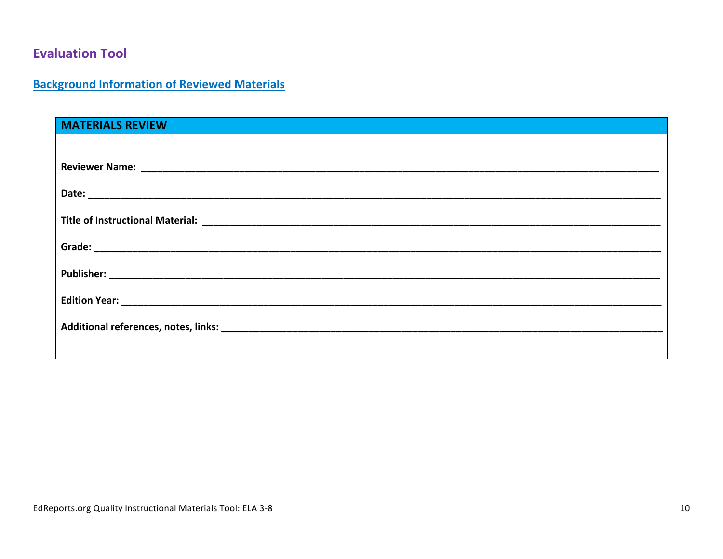# **Evaluation Tool**

# **Background Information of Reviewed Materials**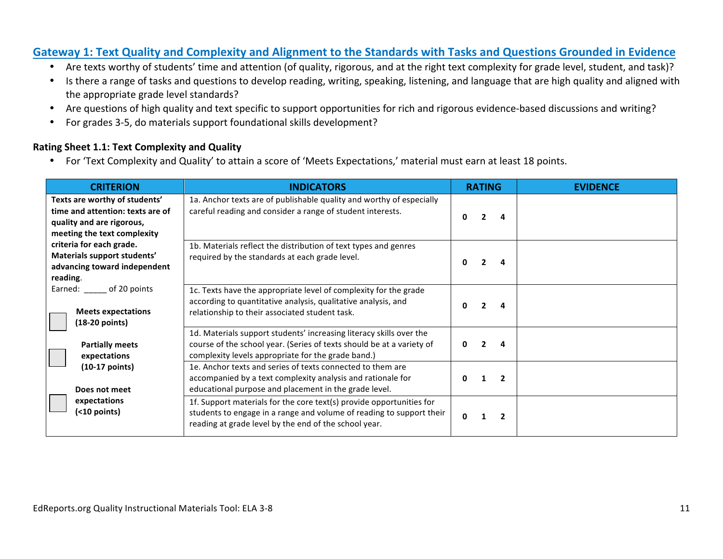## Gateway 1: Text Quality and Complexity and Alignment to the Standards with Tasks and Questions Grounded in Evidence

- Are texts worthy of students' time and attention (of quality, rigorous, and at the right text complexity for grade level, student, and task)?
- Is there a range of tasks and questions to develop reading, writing, speaking, listening, and language that are high quality and aligned with the appropriate grade level standards?
- Are questions of high quality and text specific to support opportunities for rich and rigorous evidence-based discussions and writing?
- For grades 3-5, do materials support foundational skills development?

#### **Rating Sheet 1.1: Text Complexity and Quality**

|          | <b>CRITERION</b>                                                                                                              | <b>INDICATORS</b>                                                                                                                                                                                     |              | <b>RATING</b> |                          | <b>EVIDENCE</b> |
|----------|-------------------------------------------------------------------------------------------------------------------------------|-------------------------------------------------------------------------------------------------------------------------------------------------------------------------------------------------------|--------------|---------------|--------------------------|-----------------|
|          | Texts are worthy of students'<br>time and attention: texts are of<br>quality and are rigorous,<br>meeting the text complexity | 1a. Anchor texts are of publishable quality and worthy of especially<br>careful reading and consider a range of student interests.                                                                    | <sup>0</sup> |               | 4                        |                 |
| reading. | criteria for each grade.<br>Materials support students'<br>advancing toward independent                                       | 1b. Materials reflect the distribution of text types and genres<br>required by the standards at each grade level.                                                                                     | <sup>0</sup> |               | 4                        |                 |
|          | Earned: ______ of 20 points<br><b>Meets expectations</b><br>(18-20 points)                                                    | 1c. Texts have the appropriate level of complexity for the grade<br>according to quantitative analysis, qualitative analysis, and<br>relationship to their associated student task.                   |              |               | 4                        |                 |
|          | <b>Partially meets</b><br>expectations                                                                                        | 1d. Materials support students' increasing literacy skills over the<br>course of the school year. (Series of texts should be at a variety of<br>complexity levels appropriate for the grade band.)    | <sup>0</sup> | $\mathcal{P}$ | 4                        |                 |
|          | $(10-17$ points)<br>Does not meet                                                                                             | 1e. Anchor texts and series of texts connected to them are<br>accompanied by a text complexity analysis and rationale for<br>educational purpose and placement in the grade level.                    | 0            |               | $\mathbf{2}$             |                 |
|          | expectations<br>$( < 10$ points)                                                                                              | 1f. Support materials for the core text(s) provide opportunities for<br>students to engage in a range and volume of reading to support their<br>reading at grade level by the end of the school year. | $\mathbf{0}$ |               | $\overline{\phantom{a}}$ |                 |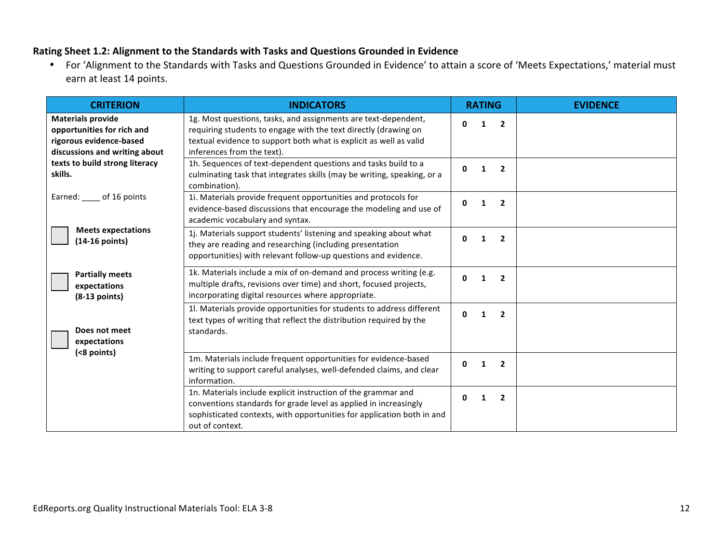### Rating Sheet 1.2: Alignment to the Standards with Tasks and Questions Grounded in Evidence

• For 'Alignment to the Standards with Tasks and Questions Grounded in Evidence' to attain a score of 'Meets Expectations,' material must earn at least 14 points.

| <b>CRITERION</b>                                                                                                   | <b>INDICATORS</b>                                                                                                                                                                                                                     |              | <b>RATING</b> |                | <b>EVIDENCE</b> |
|--------------------------------------------------------------------------------------------------------------------|---------------------------------------------------------------------------------------------------------------------------------------------------------------------------------------------------------------------------------------|--------------|---------------|----------------|-----------------|
| <b>Materials provide</b><br>opportunities for rich and<br>rigorous evidence-based<br>discussions and writing about | 1g. Most questions, tasks, and assignments are text-dependent,<br>requiring students to engage with the text directly (drawing on<br>textual evidence to support both what is explicit as well as valid<br>inferences from the text). | 0            |               | $\overline{2}$ |                 |
| texts to build strong literacy<br>skills.                                                                          | 1h. Sequences of text-dependent questions and tasks build to a<br>culminating task that integrates skills (may be writing, speaking, or a<br>combination).                                                                            | $\Omega$     |               | $\overline{2}$ |                 |
| Earned: of 16 points                                                                                               | 1i. Materials provide frequent opportunities and protocols for<br>evidence-based discussions that encourage the modeling and use of<br>academic vocabulary and syntax.                                                                | $\mathbf{0}$ |               | $\overline{2}$ |                 |
| <b>Meets expectations</b><br>$(14-16$ points)                                                                      | 1j. Materials support students' listening and speaking about what<br>they are reading and researching (including presentation<br>opportunities) with relevant follow-up questions and evidence.                                       | 0            |               | $\overline{2}$ |                 |
| <b>Partially meets</b><br>expectations<br>$(8-13$ points)                                                          | 1k. Materials include a mix of on-demand and process writing (e.g.<br>multiple drafts, revisions over time) and short, focused projects,<br>incorporating digital resources where appropriate.                                        | $\Omega$     | 1             | $\overline{2}$ |                 |
| Does not meet<br>expectations                                                                                      | 1l. Materials provide opportunities for students to address different<br>text types of writing that reflect the distribution required by the<br>standards.                                                                            | $\mathbf{0}$ | $\mathbf{1}$  | $\overline{2}$ |                 |
| (<8 points)                                                                                                        | 1m. Materials include frequent opportunities for evidence-based<br>writing to support careful analyses, well-defended claims, and clear<br>information.                                                                               | $\mathbf{0}$ | 1             | $\overline{2}$ |                 |
|                                                                                                                    | 1n. Materials include explicit instruction of the grammar and<br>conventions standards for grade level as applied in increasingly<br>sophisticated contexts, with opportunities for application both in and<br>out of context.        | n            |               | $\overline{2}$ |                 |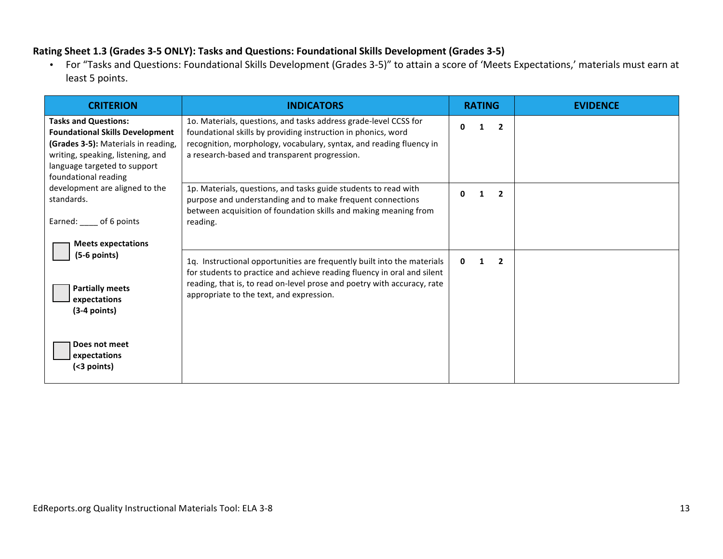## Rating Sheet 1.3 (Grades 3-5 ONLY): Tasks and Questions: Foundational Skills Development (Grades 3-5)

• For "Tasks and Questions: Foundational Skills Development (Grades 3-5)" to attain a score of 'Meets Expectations,' materials must earn at least 5 points.

| <b>CRITERION</b>                                                                                                                                                                                          | <b>INDICATORS</b>                                                                                                                                                                                                                                                         | <b>RATING</b> |              |                | <b>EVIDENCE</b> |
|-----------------------------------------------------------------------------------------------------------------------------------------------------------------------------------------------------------|---------------------------------------------------------------------------------------------------------------------------------------------------------------------------------------------------------------------------------------------------------------------------|---------------|--------------|----------------|-----------------|
| <b>Tasks and Questions:</b><br><b>Foundational Skills Development</b><br>(Grades 3-5): Materials in reading,<br>writing, speaking, listening, and<br>language targeted to support<br>foundational reading | 10. Materials, questions, and tasks address grade-level CCSS for<br>foundational skills by providing instruction in phonics, word<br>recognition, morphology, vocabulary, syntax, and reading fluency in<br>a research-based and transparent progression.                 | 0             | 1            | 2              |                 |
| development are aligned to the<br>standards.<br>Earned: _____ of 6 points                                                                                                                                 | 1p. Materials, questions, and tasks guide students to read with<br>purpose and understanding and to make frequent connections<br>between acquisition of foundation skills and making meaning from<br>reading.                                                             | 0             | 1            | $\overline{2}$ |                 |
| <b>Meets expectations</b><br>$(5-6$ points)<br><b>Partially meets</b><br>expectations<br>$(3-4$ points)                                                                                                   | 1q. Instructional opportunities are frequently built into the materials<br>for students to practice and achieve reading fluency in oral and silent<br>reading, that is, to read on-level prose and poetry with accuracy, rate<br>appropriate to the text, and expression. | $\mathbf{0}$  | $\mathbf{1}$ | $\overline{2}$ |                 |
| Does not meet<br>expectations<br>( <sub>3</sub> points)                                                                                                                                                   |                                                                                                                                                                                                                                                                           |               |              |                |                 |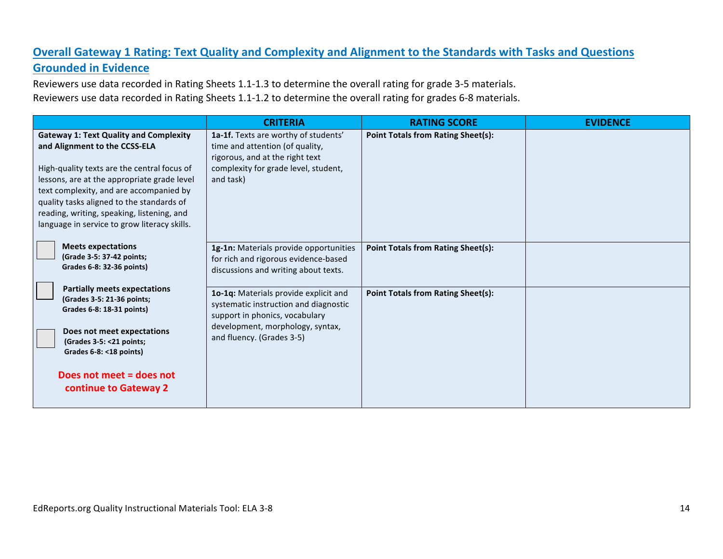# **Overall Gateway 1 Rating: Text Quality and Complexity and Alignment to the Standards with Tasks and Questions Grounded in Evidence**

Reviewers use data recorded in Rating Sheets 1.1-1.3 to determine the overall rating for grade 3-5 materials. Reviewers use data recorded in Rating Sheets 1.1-1.2 to determine the overall rating for grades 6-8 materials.

|                                                                                                                                                                                                                                                                                                                                                                    | <b>CRITERIA</b>                                                                                                                                                 | <b>RATING SCORE</b>                       | <b>EVIDENCE</b> |
|--------------------------------------------------------------------------------------------------------------------------------------------------------------------------------------------------------------------------------------------------------------------------------------------------------------------------------------------------------------------|-----------------------------------------------------------------------------------------------------------------------------------------------------------------|-------------------------------------------|-----------------|
| <b>Gateway 1: Text Quality and Complexity</b><br>and Alignment to the CCSS-ELA<br>High-quality texts are the central focus of<br>lessons, are at the appropriate grade level<br>text complexity, and are accompanied by<br>quality tasks aligned to the standards of<br>reading, writing, speaking, listening, and<br>language in service to grow literacy skills. | 1a-1f. Texts are worthy of students'<br>time and attention (of quality,<br>rigorous, and at the right text<br>complexity for grade level, student,<br>and task) | <b>Point Totals from Rating Sheet(s):</b> |                 |
| <b>Meets expectations</b><br>(Grade 3-5: 37-42 points;<br>Grades 6-8: 32-36 points)                                                                                                                                                                                                                                                                                | 1g-1n: Materials provide opportunities<br>for rich and rigorous evidence-based<br>discussions and writing about texts.                                          | <b>Point Totals from Rating Sheet(s):</b> |                 |
| <b>Partially meets expectations</b><br>(Grades 3-5: 21-36 points;<br>Grades 6-8: 18-31 points)                                                                                                                                                                                                                                                                     | 1o-1q: Materials provide explicit and<br>systematic instruction and diagnostic<br>support in phonics, vocabulary<br>development, morphology, syntax,            | <b>Point Totals from Rating Sheet(s):</b> |                 |
| Does not meet expectations<br>(Grades 3-5: <21 points;<br>Grades 6-8: <18 points)                                                                                                                                                                                                                                                                                  | and fluency. (Grades 3-5)                                                                                                                                       |                                           |                 |
| Does not meet $=$ does not<br>continue to Gateway 2                                                                                                                                                                                                                                                                                                                |                                                                                                                                                                 |                                           |                 |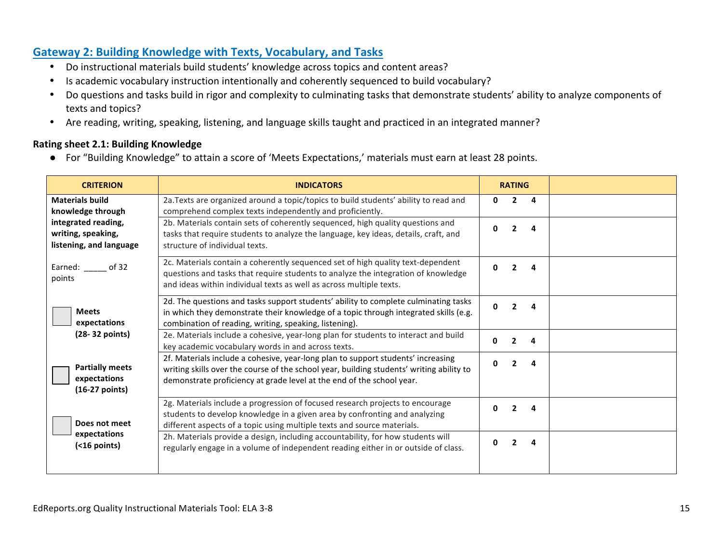## **Gateway 2: Building Knowledge with Texts, Vocabulary, and Tasks**

- Do instructional materials build students' knowledge across topics and content areas?
- Is academic vocabulary instruction intentionally and coherently sequenced to build vocabulary?
- Do questions and tasks build in rigor and complexity to culminating tasks that demonstrate students' ability to analyze components of texts and topics?
- Are reading, writing, speaking, listening, and language skills taught and practiced in an integrated manner?

#### **Rating sheet 2.1: Building Knowledge**

● For "Building Knowledge" to attain a score of 'Meets Expectations,' materials must earn at least 28 points.

| <b>CRITERION</b>                                                     | <b>INDICATORS</b>                                                                                                                                                                                                                                     |              | <b>RATING</b>  |                         |  |
|----------------------------------------------------------------------|-------------------------------------------------------------------------------------------------------------------------------------------------------------------------------------------------------------------------------------------------------|--------------|----------------|-------------------------|--|
| <b>Materials build</b><br>knowledge through                          | 2a. Texts are organized around a topic/topics to build students' ability to read and<br>comprehend complex texts independently and proficiently.                                                                                                      | 0            | $\overline{2}$ | $\overline{\mathbf{a}}$ |  |
| integrated reading,<br>writing, speaking,<br>listening, and language | 2b. Materials contain sets of coherently sequenced, high quality questions and<br>tasks that require students to analyze the language, key ideas, details, craft, and<br>structure of individual texts.                                               | 0            | 2              | 4                       |  |
| Earned: of 32<br>points                                              | 2c. Materials contain a coherently sequenced set of high quality text-dependent<br>questions and tasks that require students to analyze the integration of knowledge<br>and ideas within individual texts as well as across multiple texts.           | ŋ.           |                |                         |  |
| <b>Meets</b><br>expectations                                         | 2d. The questions and tasks support students' ability to complete culminating tasks<br>in which they demonstrate their knowledge of a topic through integrated skills (e.g.<br>combination of reading, writing, speaking, listening).                 | <sup>0</sup> |                | 4                       |  |
| (28-32 points)                                                       | 2e. Materials include a cohesive, year-long plan for students to interact and build<br>key academic vocabulary words in and across texts.                                                                                                             | 0            | 2              | 4                       |  |
| <b>Partially meets</b><br>expectations<br>$(16-27$ points)           | 2f. Materials include a cohesive, year-long plan to support students' increasing<br>writing skills over the course of the school year, building students' writing ability to<br>demonstrate proficiency at grade level at the end of the school year. | n            |                |                         |  |
| Does not meet                                                        | 2g. Materials include a progression of focused research projects to encourage<br>students to develop knowledge in a given area by confronting and analyzing<br>different aspects of a topic using multiple texts and source materials.                | U            | 7              | 4                       |  |
| expectations<br>$( < 16$ points)                                     | 2h. Materials provide a design, including accountability, for how students will<br>regularly engage in a volume of independent reading either in or outside of class.                                                                                 | O.           |                | 4                       |  |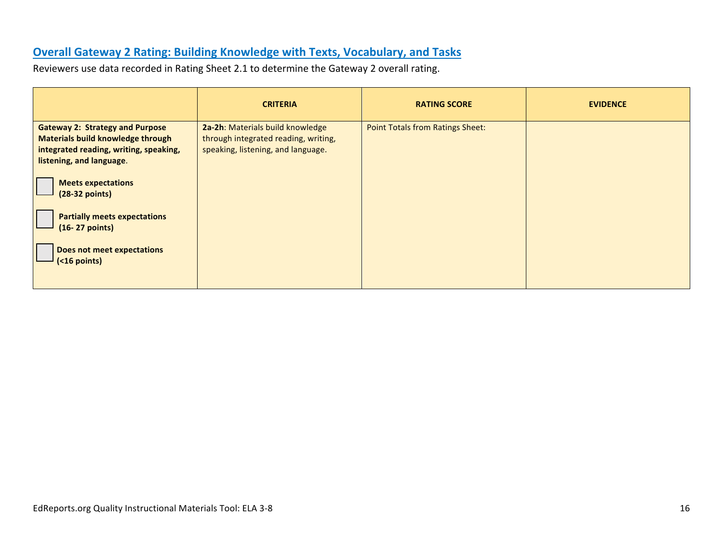# **Overall Gateway 2 Rating: Building Knowledge with Texts, Vocabulary, and Tasks**

Reviewers use data recorded in Rating Sheet 2.1 to determine the Gateway 2 overall rating.

|                                                                                                                                                                                                                                                                                                                           | <b>CRITERIA</b>                                                                                                | <b>RATING SCORE</b>                     | <b>EVIDENCE</b> |
|---------------------------------------------------------------------------------------------------------------------------------------------------------------------------------------------------------------------------------------------------------------------------------------------------------------------------|----------------------------------------------------------------------------------------------------------------|-----------------------------------------|-----------------|
| <b>Gateway 2: Strategy and Purpose</b><br><b>Materials build knowledge through</b><br>integrated reading, writing, speaking,<br>listening, and language.<br><b>Meets expectations</b><br>(28-32 points)<br><b>Partially meets expectations</b><br>$(16-27$ points)<br><b>Does not meet expectations</b><br>$( 16 points)$ | 2a-2h: Materials build knowledge<br>through integrated reading, writing,<br>speaking, listening, and language. | <b>Point Totals from Ratings Sheet:</b> |                 |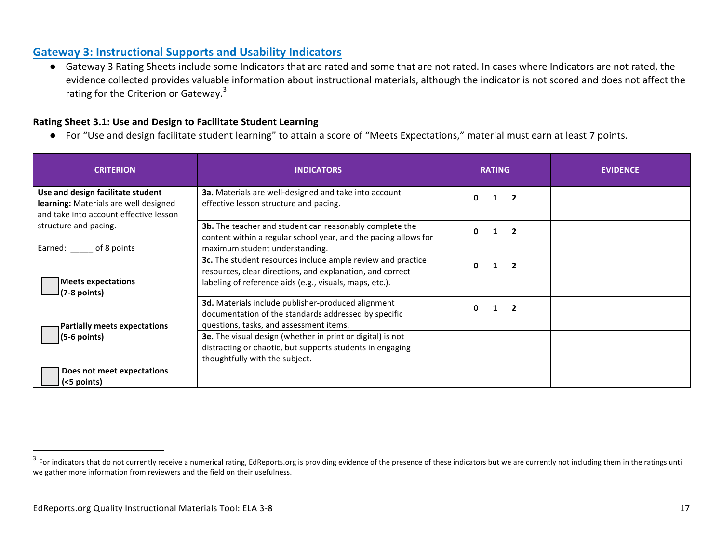## **Gateway 3: Instructional Supports and Usability Indicators**

● Gateway 3 Rating Sheets include some Indicators that are rated and some that are not rated. In cases where Indicators are not rated, the evidence collected provides valuable information about instructional materials, although the indicator is not scored and does not affect the rating for the Criterion or Gateway.<sup>3</sup>

## **Rating Sheet 3.1: Use and Design to Facilitate Student Learning**

● For "Use and design facilitate student learning" to attain a score of "Meets Expectations," material must earn at least 7 points.

| <b>CRITERION</b>                                                                                                     | <b>INDICATORS</b>                                                                                                                                                                   | <b>RATING</b>                            | <b>EVIDENCE</b> |
|----------------------------------------------------------------------------------------------------------------------|-------------------------------------------------------------------------------------------------------------------------------------------------------------------------------------|------------------------------------------|-----------------|
| Use and design facilitate student<br>learning: Materials are well designed<br>and take into account effective lesson | <b>3a.</b> Materials are well-designed and take into account<br>effective lesson structure and pacing.                                                                              | <sup>0</sup>                             |                 |
| structure and pacing.<br>Earned: of 8 points                                                                         | <b>3b.</b> The teacher and student can reasonably complete the<br>content within a regular school year, and the pacing allows for<br>maximum student understanding.                 | 0<br>$\overline{\phantom{a}}$            |                 |
| <b>Meets expectations</b><br>$(7-8$ points)                                                                          | 3c. The student resources include ample review and practice<br>resources, clear directions, and explanation, and correct<br>labeling of reference aids (e.g., visuals, maps, etc.). | <sup>n</sup><br>$\overline{\phantom{a}}$ |                 |
| <b>Partially meets expectations</b>                                                                                  | 3d. Materials include publisher-produced alignment<br>documentation of the standards addressed by specific<br>questions, tasks, and assessment items.                               | $\Omega$<br>$\overline{\phantom{a}}$     |                 |
| $(5-6$ points)                                                                                                       | 3e. The visual design (whether in print or digital) is not<br>distracting or chaotic, but supports students in engaging<br>thoughtfully with the subject.                           |                                          |                 |
| Does not meet expectations<br>(<5 points)                                                                            |                                                                                                                                                                                     |                                          |                 |

<u> 1989 - Johann Barn, mars ann an t-Amhain an t-Amhain an t-Amhain an t-Amhain an t-Amhain an t-Amhain an t-Amh</u>

 $3$  For indicators that do not currently receive a numerical rating, EdReports.org is providing evidence of the presence of these indicators but we are currently not including them in the ratings until we gather more information from reviewers and the field on their usefulness.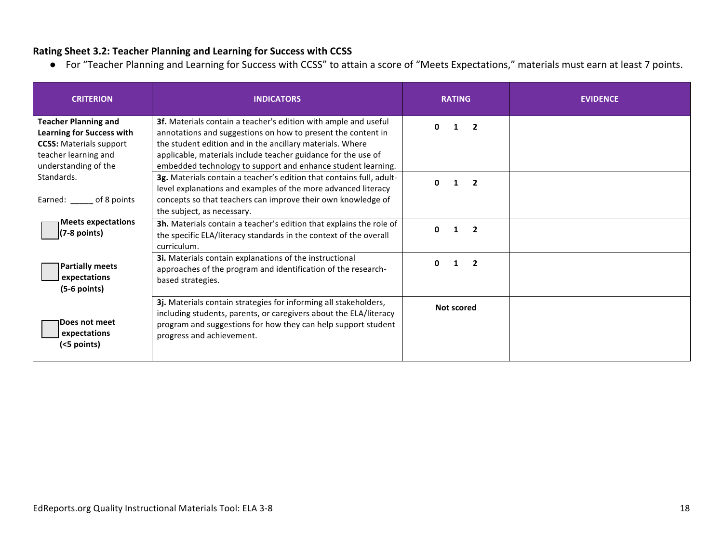## **Rating Sheet 3.2: Teacher Planning and Learning for Success with CCSS**

● For "Teacher Planning and Learning for Success with CCSS" to attain a score of "Meets Expectations," materials must earn at least 7 points.

| <b>CRITERION</b>                 | <b>INDICATORS</b>                                                    | <b>RATING</b>                | <b>EVIDENCE</b> |
|----------------------------------|----------------------------------------------------------------------|------------------------------|-----------------|
| <b>Teacher Planning and</b>      | 3f. Materials contain a teacher's edition with ample and useful      | ŋ.                           |                 |
| <b>Learning for Success with</b> | annotations and suggestions on how to present the content in         |                              |                 |
| <b>CCSS:</b> Materials support   | the student edition and in the ancillary materials. Where            |                              |                 |
| teacher learning and             | applicable, materials include teacher guidance for the use of        |                              |                 |
| understanding of the             | embedded technology to support and enhance student learning.         |                              |                 |
| Standards.                       | 3g. Materials contain a teacher's edition that contains full, adult- | $\overline{2}$<br>ŋ.         |                 |
|                                  | level explanations and examples of the more advanced literacy        |                              |                 |
| Earned: of 8 points              | concepts so that teachers can improve their own knowledge of         |                              |                 |
|                                  | the subject, as necessary.                                           |                              |                 |
| <b>Meets expectations</b>        | 3h. Materials contain a teacher's edition that explains the role of  |                              |                 |
| $(7-8$ points)                   | the specific ELA/literacy standards in the context of the overall    | <sup>0</sup><br>$\mathbf{c}$ |                 |
|                                  | curriculum.                                                          |                              |                 |
|                                  | 3i. Materials contain explanations of the instructional              |                              |                 |
| <b>Partially meets</b>           | approaches of the program and identification of the research-        | $\boldsymbol{z}$<br>n.       |                 |
| expectations                     | based strategies.                                                    |                              |                 |
| $(5-6$ points)                   |                                                                      |                              |                 |
|                                  | 3j. Materials contain strategies for informing all stakeholders,     | <b>Not scored</b>            |                 |
|                                  | including students, parents, or caregivers about the ELA/literacy    |                              |                 |
| <b>IDoes not meet</b>            | program and suggestions for how they can help support student        |                              |                 |
| expectations                     | progress and achievement.                                            |                              |                 |
| (<5 points)                      |                                                                      |                              |                 |
|                                  |                                                                      |                              |                 |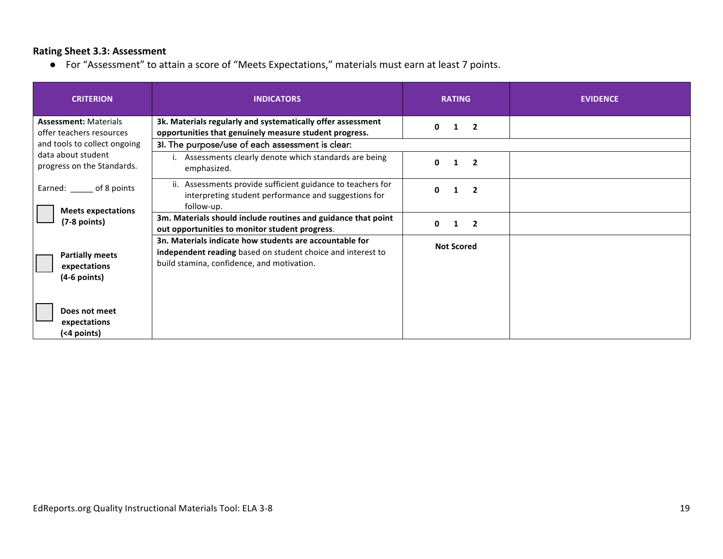## **Rating Sheet 3.3: Assessment**

● For "Assessment" to attain a score of "Meets Expectations," materials must earn at least 7 points.

| <b>CRITERION</b>                                         | <b>INDICATORS</b>                                                                                                                                                    | <b>RATING</b>       | <b>EVIDENCE</b> |
|----------------------------------------------------------|----------------------------------------------------------------------------------------------------------------------------------------------------------------------|---------------------|-----------------|
| <b>Assessment: Materials</b><br>offer teachers resources | 3k. Materials regularly and systematically offer assessment<br>opportunities that genuinely measure student progress.                                                | 0<br>$\overline{2}$ |                 |
| and tools to collect ongoing                             | 3I. The purpose/use of each assessment is clear:                                                                                                                     |                     |                 |
| data about student<br>progress on the Standards.         | Assessments clearly denote which standards are being<br>emphasized.                                                                                                  | 0<br>$1 \quad 2$    |                 |
| Earned: of 8 points                                      | ii. Assessments provide sufficient guidance to teachers for<br>interpreting student performance and suggestions for                                                  | $\overline{2}$<br>0 |                 |
| <b>Meets expectations</b><br>(7-8 points)                | follow-up.                                                                                                                                                           |                     |                 |
|                                                          | 3m. Materials should include routines and guidance that point<br>out opportunities to monitor student progress.                                                      | 0<br>$\overline{2}$ |                 |
| <b>Partially meets</b><br>expectations<br>$(4-6$ points) | 3n. Materials indicate how students are accountable for<br>independent reading based on student choice and interest to<br>build stamina, confidence, and motivation. | <b>Not Scored</b>   |                 |
| Does not meet<br>expectations<br>(<4 points)             |                                                                                                                                                                      |                     |                 |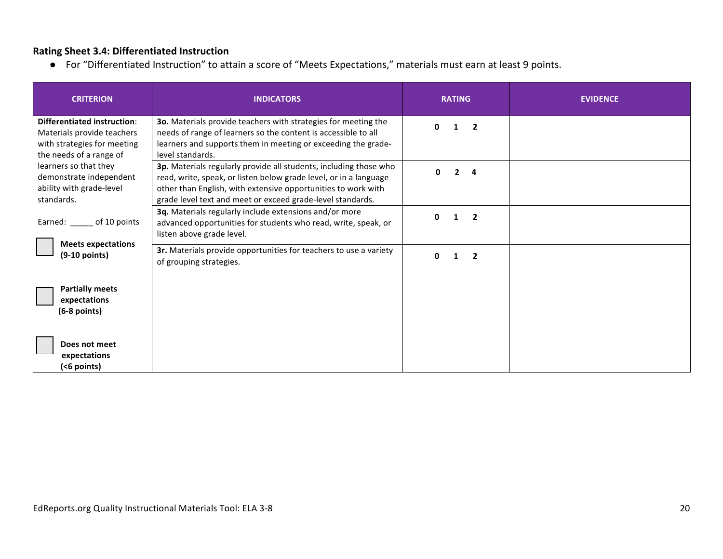## **Rating Sheet 3.4: Differentiated Instruction**

● For "Differentiated Instruction" to attain a score of "Meets Expectations," materials must earn at least 9 points.

| <b>CRITERION</b>                                                                                                           | <b>INDICATORS</b>                                                                                                                                                                                                                                                     | <b>RATING</b>                     | <b>EVIDENCE</b> |
|----------------------------------------------------------------------------------------------------------------------------|-----------------------------------------------------------------------------------------------------------------------------------------------------------------------------------------------------------------------------------------------------------------------|-----------------------------------|-----------------|
| <b>Differentiated instruction:</b><br>Materials provide teachers<br>with strategies for meeting<br>the needs of a range of | 30. Materials provide teachers with strategies for meeting the<br>needs of range of learners so the content is accessible to all<br>learners and supports them in meeting or exceeding the grade-<br>level standards.                                                 | $\overline{2}$                    |                 |
| learners so that they<br>demonstrate independent<br>ability with grade-level<br>standards.                                 | 3p. Materials regularly provide all students, including those who<br>read, write, speak, or listen below grade level, or in a language<br>other than English, with extensive opportunities to work with<br>grade level text and meet or exceed grade-level standards. | <sup>n</sup><br>$\mathbf{z}$<br>4 |                 |
| Earned: ______ of 10 points                                                                                                | 3q. Materials regularly include extensions and/or more<br>advanced opportunities for students who read, write, speak, or<br>listen above grade level.                                                                                                                 | $\overline{2}$<br>U               |                 |
| <b>Meets expectations</b><br>$(9-10$ points)                                                                               | 3r. Materials provide opportunities for teachers to use a variety<br>of grouping strategies.                                                                                                                                                                          | U<br>$\overline{2}$               |                 |
| <b>Partially meets</b><br>expectations<br>$(6-8$ points)                                                                   |                                                                                                                                                                                                                                                                       |                                   |                 |
| Does not meet<br>expectations<br>(<6 points)                                                                               |                                                                                                                                                                                                                                                                       |                                   |                 |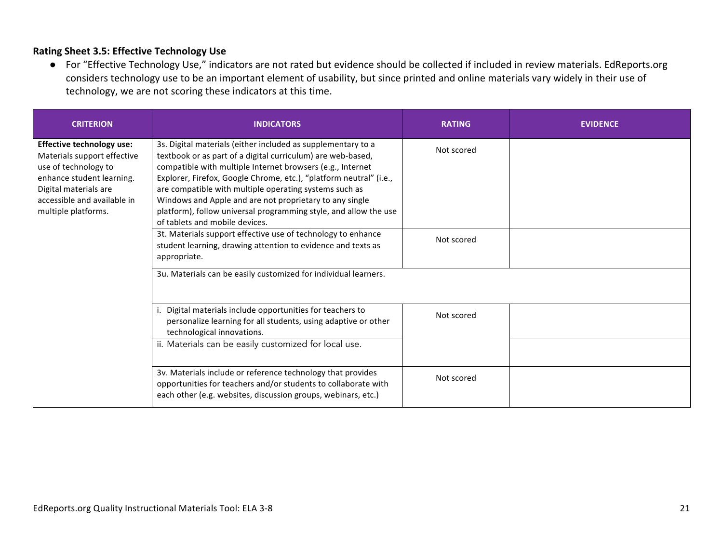## **Rating Sheet 3.5: Effective Technology Use**

● For "Effective Technology Use," indicators are not rated but evidence should be collected if included in review materials. EdReports.org considers technology use to be an important element of usability, but since printed and online materials vary widely in their use of technology, we are not scoring these indicators at this time.

| <b>CRITERION</b>                                                                                                                                                                                    | <b>INDICATORS</b>                                                                                                                                                                                                                                                                                                                                                                                                                                                                          | <b>RATING</b> | <b>EVIDENCE</b> |
|-----------------------------------------------------------------------------------------------------------------------------------------------------------------------------------------------------|--------------------------------------------------------------------------------------------------------------------------------------------------------------------------------------------------------------------------------------------------------------------------------------------------------------------------------------------------------------------------------------------------------------------------------------------------------------------------------------------|---------------|-----------------|
| <b>Effective technology use:</b><br>Materials support effective<br>use of technology to<br>enhance student learning.<br>Digital materials are<br>accessible and available in<br>multiple platforms. | 3s. Digital materials (either included as supplementary to a<br>textbook or as part of a digital curriculum) are web-based,<br>compatible with multiple Internet browsers (e.g., Internet<br>Explorer, Firefox, Google Chrome, etc.), "platform neutral" (i.e.,<br>are compatible with multiple operating systems such as<br>Windows and Apple and are not proprietary to any single<br>platform), follow universal programming style, and allow the use<br>of tablets and mobile devices. | Not scored    |                 |
|                                                                                                                                                                                                     | 3t. Materials support effective use of technology to enhance<br>student learning, drawing attention to evidence and texts as<br>appropriate.<br>3u. Materials can be easily customized for individual learners.                                                                                                                                                                                                                                                                            | Not scored    |                 |
|                                                                                                                                                                                                     | Digital materials include opportunities for teachers to<br>personalize learning for all students, using adaptive or other<br>technological innovations.<br>ii. Materials can be easily customized for local use.                                                                                                                                                                                                                                                                           | Not scored    |                 |
|                                                                                                                                                                                                     |                                                                                                                                                                                                                                                                                                                                                                                                                                                                                            |               |                 |
|                                                                                                                                                                                                     | 3v. Materials include or reference technology that provides<br>opportunities for teachers and/or students to collaborate with<br>each other (e.g. websites, discussion groups, webinars, etc.)                                                                                                                                                                                                                                                                                             | Not scored    |                 |